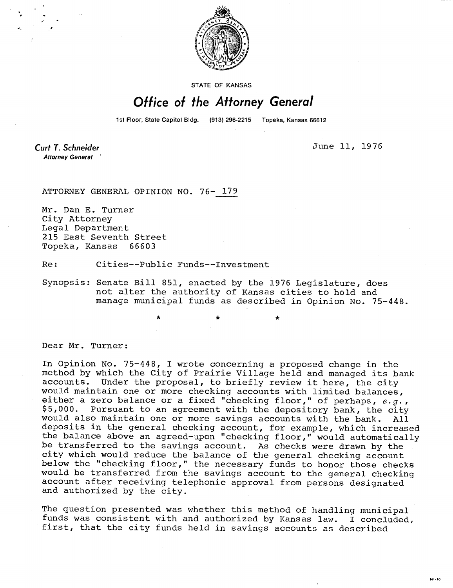

STATE OF KANSAS

## Office of the Attorney General

1st Floor, State Capitol Bldg. (913) 296-2215 Topeka, Kansas 66612

**Curt T. Schneider Attorney General** 

June 11, 1976

ATTORNEY GENERAL OPINION NO. 76- 179

Mr. Dan E. Turner City Attorney Legal Department 215 East Seventh Street Topeka, Kansas 66603

Re: Cities--Public Funds--Investment

\*

Synopsis: Senate Bill 851, enacted by the 1976 Legislature, does not alter the authority of Kansas cities to hold and manage municipal funds as described in Opinion No. 75-448.

Dear Mr. Turner:

In Opinion No. 75-448, I wrote concerning a proposed change in the method by which the City of Prairie Village held and managed its bank<br>accounts. Under the proposal, to briefly review it here, the city Under the proposal, to briefly review it here, the city would maintain one or more checking accounts with limited balances, either a zero balance or a fixed "checking floor," of perhaps, e.g., \$5,000. Pursuant to an agreement with the depository bank, the city would also maintain one or more savings accounts with the bank. All deposits in the general checking account, for example, which increased the balance above an agreed-upon "checking floor," would automatically be transferred to the savings account. As checks were drawn by the city which would reduce the balance of the general checking account below the "checking floor," the necessary funds to honor those checks would be transferred from the savings account to the general checking account after receiving telephonic approval from persons designated and authorized by the city.

The question presented was whether this method of handling municipal funds was consistent with and authorized by Kansas law. I concluded, first, that the city funds held in savings accounts as described